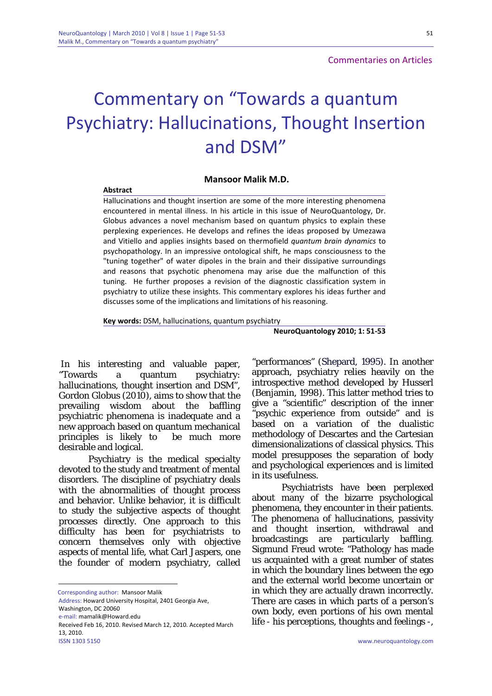## Commentary on "Towards a quantum Psychiatry: Hallucinations, Thought Insertion and DSM"

## **Mansoor Malik M.D.**

## **Abstract**

Hallucinations and thought insertion are some of the more interesting phenomena encountered in mental illness. In his article in this issue of NeuroQuantology, Dr. Globus advances a novel mechanism based on quantum physics to explain these perplexing experiences. He develops and refines the ideas proposed by Umezawa and Vitiello and applies insights based on thermofield *quantum brain dynamics* to psychopathology. In an impressive ontological shift, he maps consciousness to the "tuning together" of water dipoles in the brain and their dissipative surroundings and reasons that psychotic phenomena may arise due the malfunction of this tuning. He further proposes a revision of the diagnostic classification system in psychiatry to utilize these insights. This commentary explores his ideas further and discusses some of the implications and limitations of his reasoning.

**Key words:** DSM, hallucinations, quantum psychiatry

**NeuroQuantology 2010; 1: 51‐53**

In his interesting and valuable paper, "Towards a quantum psychiatry: hallucinations, thought insertion and DSM", Gordon Globus (2010), aims to show that the prevailing wisdom about the baffling psychiatric phenomena is inadequate and a new approach based on quantum mechanical principles is likely to be much more desirable and logical.

Psychiatry is the medical specialty devoted to the study and treatment of mental disorders. The discipline of psychiatry deals with the abnormalities of thought process and behavior. Unlike behavior, it is difficult to study the subjective aspects of thought processes directly. One approach to this difficulty has been for psychiatrists to concern themselves only with objective aspects of mental life, what Carl Jaspers, one the founder of modern psychiatry, called

Corresponding author: Mansoor Malik

Address: Howard University Hospital, 2401 Georgia Ave, Washington, DC 20060

e‐mail: mamalik@Howard.edu

1

"performances" (Shepard, 1995). In another approach, psychiatry relies heavily on the introspective method developed by Husserl (Benjamin, 1998). This latter method tries to give a "scientific" description of the inner "psychic experience from outside" and is based on a variation of the dualistic methodology of Descartes and the Cartesian dimensionalizations of classical physics. This model presupposes the separation of body and psychological experiences and is limited in its usefulness.

Psychiatrists have been perplexed about many of the bizarre psychological phenomena, they encounter in their patients. The phenomena of hallucinations, passivity and thought insertion, withdrawal and broadcastings are particularly baffling. Sigmund Freud wrote: "Pathology has made us acquainted with a great number of states in which the boundary lines between the ego and the external world become uncertain or in which they are actually drawn incorrectly. There are cases in which parts of a person's own body, even portions of his own mental life - his perceptions, thoughts and feelings -,

Received Feb 16, 2010. Revised March 12, 2010. Accepted March 13, 2010.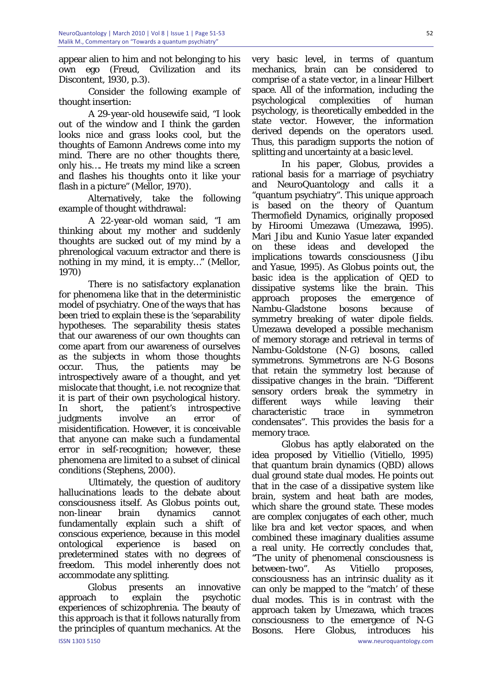appear alien to him and not belonging to his own ego (Freud, Civilization and its Discontent, 1930, p.3).

Consider the following example of thought insertion:

A 29-year-old housewife said, "I look out of the window and I think the garden looks nice and grass looks cool, but the thoughts of Eamonn Andrews come into my mind. There are no other thoughts there, only his…. He treats my mind like a screen and flashes his thoughts onto it like your flash in a picture" (Mellor, 1970).

Alternatively, take the following example of thought withdrawal:

A 22-year-old woman said, "I am thinking about my mother and suddenly thoughts are sucked out of my mind by a phrenological vacuum extractor and there is nothing in my mind, it is empty…" (Mellor, 1970)

There is no satisfactory explanation for phenomena like that in the deterministic model of psychiatry. One of the ways that has been tried to explain these is the 'separability hypotheses. The separability thesis states that our awareness of our own thoughts can come apart from our awareness of ourselves as the subjects in whom those thoughts occur. Thus, the patients may be introspectively aware of a thought, and yet mislocate that thought, i.e. not recognize that it is part of their own psychological history. In short, the patient's introspective judgments involve an error of misidentification. However, it is conceivable that anyone can make such a fundamental error in self-recognition; however, these phenomena are limited to a subset of clinical conditions (Stephens, 2000).

Ultimately, the question of auditory hallucinations leads to the debate about consciousness itself. As Globus points out, non-linear brain dynamics cannot fundamentally explain such a shift of conscious experience, because in this model ontological experience is based on predetermined states with no degrees of freedom. This model inherently does not accommodate any splitting.

ISSN 1303 5150 www.neuroquantology.com Globus presents an innovative approach to explain the psychotic experiences of schizophrenia. The beauty of this approach is that it follows naturally from the principles of quantum mechanics. At the

very basic level, in terms of quantum mechanics, brain can be considered to comprise of a state vector, in a linear Hilbert space. All of the information, including the psychological complexities of human psychology, is theoretically embedded in the state vector. However, the information derived depends on the operators used. Thus, this paradigm supports the notion of splitting and uncertainty at a basic level.

In his paper, Globus, provides a rational basis for a marriage of psychiatry and NeuroQuantology and calls it a "quantum psychiatry". This unique approach is based on the theory of Quantum Thermofield Dynamics, originally proposed by Hiroomi Umezawa (Umezawa, 1995). Mari Jibu and Kunio Yasue later expanded on these ideas and developed the implications towards consciousness (Jibu and Yasue, 1995). As Globus points out, the basic idea is the application of QED to dissipative systems like the brain. This approach proposes the emergence of Nambu-Gladstone bosons because of symmetry breaking of water dipole fields. Umezawa developed a possible mechanism of memory storage and retrieval in terms of Nambu-Goldstone (N-G) bosons, called symmetrons. Symmetrons are N-G Bosons that retain the symmetry lost because of dissipative changes in the brain. "Different sensory orders break the symmetry in different ways while leaving their characteristic trace in symmetron condensates". This provides the basis for a memory trace.

Globus has aptly elaborated on the idea proposed by Vitiellio (Vitiello, 1995) that quantum brain dynamics (QBD) allows dual ground state dual modes. He points out that in the case of a dissipative system like brain, system and heat bath are modes, which share the ground state. These modes are complex conjugates of each other, much like bra and ket vector spaces, and when combined these imaginary dualities assume a real unity. He correctly concludes that, "The unity of phenomenal consciousness is between-two". As Vitiello proposes, consciousness has an intrinsic duality as it can only be mapped to the "match' of these dual modes. This is in contrast with the approach taken by Umezawa, which traces consciousness to the emergence of N-G Bosons. Here Globus, introduces his